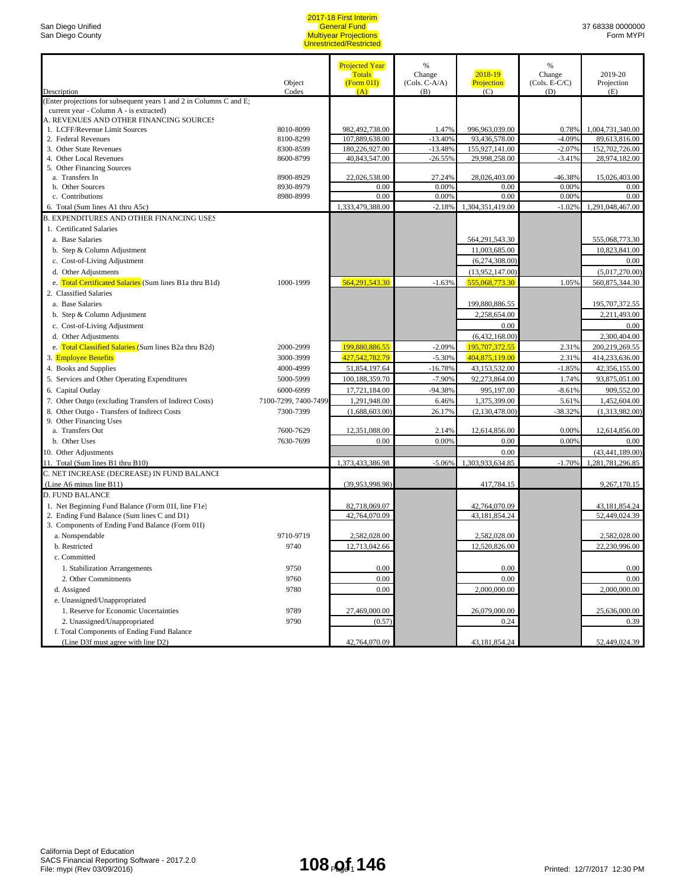|                                                                                    |                      | <b>Projected Year</b> | %               |                       | %               |                       |
|------------------------------------------------------------------------------------|----------------------|-----------------------|-----------------|-----------------------|-----------------|-----------------------|
|                                                                                    |                      | <b>Totals</b>         | Change          | $2018 - 19$           | Change          | 2019-20               |
|                                                                                    | Object               | (Form 01I)            | $(Cols. C-A/A)$ | Projection            | $(Cols. E-C/C)$ | Projection            |
| Description<br>(Enter projections for subsequent years 1 and 2 in Columns C and E; | Codes                | (A)                   | (B)             | (C)                   | (D)             | (E)                   |
| current year - Column A - is extracted)                                            |                      |                       |                 |                       |                 |                       |
| A. REVENUES AND OTHER FINANCING SOURCES                                            |                      |                       |                 |                       |                 |                       |
| 1. LCFF/Revenue Limit Sources                                                      | 8010-8099            | 982,492,738.00        | 1.47%           | 996,963,039.00        | 0.78%           | 1,004,731,340.00      |
| 2. Federal Revenues                                                                | 8100-8299            | 107,889,638.00        | $-13.40%$       | 93,436,578.00         | $-4.09%$        | 89,613,816.00         |
| 3. Other State Revenues                                                            | 8300-8599            | 180,226,927.00        | $-13.48%$       | 155,927,141.00        | $-2.07%$        | 152,702,726.00        |
| 4. Other Local Revenues                                                            | 8600-8799            | 40,843,547.00         | $-26.55%$       | 29,998,258.00         | $-3.41%$        | 28,974,182.00         |
| 5. Other Financing Sources                                                         | 8900-8929            |                       |                 |                       | $-46.38%$       |                       |
| a. Transfers In<br>b. Other Sources                                                | 8930-8979            | 22,026,538.00<br>0.00 | 27.24%<br>0.00% | 28,026,403.00<br>0.00 | 0.00%           | 15,026,403.00<br>0.00 |
| c. Contributions                                                                   | 8980-8999            | 0.00                  | 0.00%           | 0.00                  | 0.00%           | 0.00                  |
| 6. Total (Sum lines A1 thru A5c)                                                   |                      | 1,333,479,388.00      | $-2.18%$        | 1,304,351,419.00      | $-1.02%$        | 1.291.048.467.00      |
| <b>B. EXPENDITURES AND OTHER FINANCING USES</b>                                    |                      |                       |                 |                       |                 |                       |
| 1. Certificated Salaries                                                           |                      |                       |                 |                       |                 |                       |
| a. Base Salaries                                                                   |                      |                       |                 | 564,291,543.30        |                 | 555,068,773.30        |
| b. Step & Column Adjustment                                                        |                      |                       |                 | 11,003,685.00         |                 | 10,823,841.00         |
| c. Cost-of-Living Adjustment                                                       |                      |                       |                 | (6,274,308.00)        |                 | 0.00                  |
| d. Other Adjustments                                                               |                      |                       |                 | (13,952,147.00)       |                 | (5,017,270.00)        |
| e. Total Certificated Salaries (Sum lines B1a thru B1d)                            | 1000-1999            | 564,291,543.30        | $-1.63%$        | 555,068,773.30        | 1.05%           | 560,875,344.30        |
| 2. Classified Salaries                                                             |                      |                       |                 |                       |                 |                       |
| a. Base Salaries                                                                   |                      |                       |                 | 199,880,886.55        |                 | 195,707,372.55        |
| b. Step & Column Adjustment                                                        |                      |                       |                 | 2,258,654.00          |                 | 2,211,493.00          |
| c. Cost-of-Living Adjustment                                                       |                      |                       |                 | 0.00                  |                 | 0.00                  |
| d. Other Adjustments                                                               |                      |                       |                 | (6,432,168.00)        |                 | 2,300,404.00          |
| e. Total Classified Salaries (Sum lines B2a thru B2d)                              | 2000-2999            | 199,880,886.55        | $-2.09%$        | 195,707,372.55        | 2.31%           | 200,219,269.55        |
| 3. Employee Benefits                                                               | 3000-3999            | 427,542,782.79        | $-5.30%$        | 404,875,119.00        | 2.31%           | 414,233,636.00        |
| 4. Books and Supplies                                                              | 4000-4999            | 51,854,197.64         | $-16.78%$       | 43,153,532.00         | $-1.85%$        | 42,356,155.00         |
| 5. Services and Other Operating Expenditures                                       | 5000-5999            | 100,188,359.70        | $-7.90%$        | 92,273,864.00         | 1.74%           | 93,875,051.00         |
| 6. Capital Outlay                                                                  | 6000-6999            | 17,721,184.00         | $-94.38%$       | 995,197.00            | $-8.61%$        | 909,552.00            |
| 7. Other Outgo (excluding Transfers of Indirect Costs)                             | 7100-7299, 7400-7499 | 1,291,948.00          | 6.46%           | 1,375,399.00          | 5.61%           | 1,452,604.00          |
| 8. Other Outgo - Transfers of Indirect Costs                                       | 7300-7399            | (1,688,603.00)        | 26.17%          | (2,130,478.00)        | $-38.32%$       | (1,313,982.00)        |
| 9. Other Financing Uses                                                            |                      |                       |                 |                       |                 |                       |
| a. Transfers Out                                                                   | 7600-7629            | 12,351,088.00         | 2.14%           | 12,614,856.00         | 0.00%           | 12,614,856.00         |
| b. Other Uses                                                                      | 7630-7699            | 0.00                  | 0.00%           | 0.00                  | 0.00%           | 0.00                  |
| 10. Other Adjustments                                                              |                      |                       |                 | 0.00                  |                 | (43, 441, 189.00)     |
| 11. Total (Sum lines B1 thru B10)                                                  |                      | 1,373,433,386.98      | $-5.06%$        | 1,303,933,634.85      | $-1.70%$        | 1,281,781,296.85      |
| C. NET INCREASE (DECREASE) IN FUND BALANCE                                         |                      |                       |                 |                       |                 |                       |
| (Line A6 minus line B11)                                                           |                      | (39,953,998.98)       |                 | 417,784.15            |                 | 9,267,170.15          |
| <b>D. FUND BALANCE</b>                                                             |                      |                       |                 |                       |                 |                       |
| 1. Net Beginning Fund Balance (Form 01I, line F1e)                                 |                      | 82,718,069.07         |                 | 42,764,070.09         |                 | 43,181,854.24         |
| 2. Ending Fund Balance (Sum lines C and D1)                                        |                      | 42,764,070.09         |                 | 43,181,854.24         |                 | 52,449,024.39         |
| 3. Components of Ending Fund Balance (Form 01I)                                    |                      |                       |                 |                       |                 |                       |
| a. Nonspendable                                                                    | 9710-9719            | 2,582,028.00          |                 | 2,582,028.00          |                 | 2,582,028.00          |
| b. Restricted                                                                      | 9740                 | 12,713,042.66         |                 | 12,520,826.00         |                 | 22.230.996.00         |
| c. Committed                                                                       |                      |                       |                 |                       |                 |                       |
| 1. Stabilization Arrangements                                                      | 9750                 | 0.00                  |                 | 0.00                  |                 | 0.00                  |
| 2. Other Commitments                                                               | 9760                 | 0.00                  |                 | 0.00                  |                 | 0.00                  |
| d. Assigned                                                                        | 9780                 | 0.00                  |                 | 2,000,000.00          |                 | 2,000,000.00          |
| e. Unassigned/Unappropriated                                                       |                      |                       |                 |                       |                 |                       |
| 1. Reserve for Economic Uncertainties                                              | 9789                 | 27,469,000.00         |                 | 26,079,000.00         |                 | 25,636,000.00         |
| 2. Unassigned/Unappropriated                                                       | 9790                 | (0.57)                |                 | 0.24                  |                 | 0.39                  |
| f. Total Components of Ending Fund Balance                                         |                      |                       |                 |                       |                 |                       |
| (Line D3f must agree with line D2)                                                 |                      | 42,764,070.09         |                 | 43,181,854.24         |                 | 52,449,024.39         |